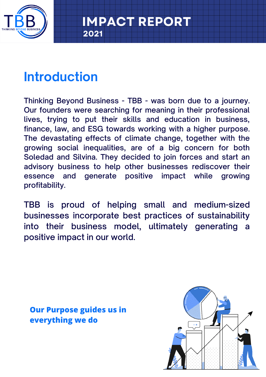

# **Introduction**

**2021**

Thinking Beyond Business - TBB - was born due to a journey. Our founders were searching for meaning in their professional lives, trying to put their skills and education in business, finance, law, and ESG towards working with a higher purpose. The devastating effects of climate change, together with the growing social inequalities, are of a big concern for both Soledad and Silvina. They decided to join forces and start an advisory business to help other businesses rediscover their essence and generate positive impact while growing profitability.

TBB is proud of helping small and medium-sized businesses incorporate best practices of sustainability into their business model, ultimately generating a positive impact in our world.

**Our Purpose guides us in everything we do**

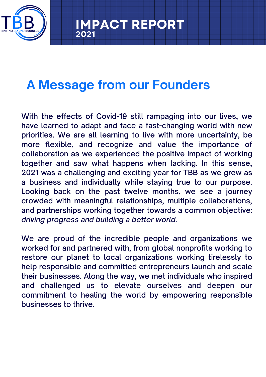

# **A Message from our Founders**

**2021**

With the effects of Covid-19 still rampaging into our lives, we have learned to adapt and face a fast-changing world with new priorities. We are all learning to live with more uncertainty, be more flexible, and recognize and value the importance of collaboration as we experienced the positive impact of working together and saw what happens when lacking. In this sense, 2021 was a challenging and exciting year for TBB as we grew as a business and individually while staying true to our purpose. Looking back on the past twelve months, we see a journey crowded with meaningful relationships, multiple collaborations, and partnerships working together towards a common objective: *driving progress and building a better world.*

We are proud of the incredible people and organizations we worked for and partnered with, from global nonprofits working to restore our planet to local organizations working tirelessly to help responsible and committed entrepreneurs launch and scale their businesses. Along the way, we met individuals who inspired and challenged us to elevate ourselves and deepen our commitment to healing the world by empowering responsible businesses to thrive.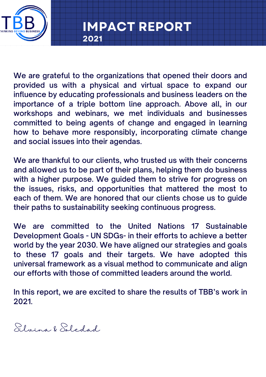

We are grateful to the organizations that opened their doors and provided us with a physical and virtual space to expand our influence by educating professionals and business leaders on the importance of a triple bottom line approach. Above all, in our workshops and webinars, we met individuals and businesses committed to being agents of change and engaged in learning how to behave more responsibly, incorporating climate change and social issues into their agendas.

**2021**

**IMPACT REPORT**

We are thankful to our clients, who trusted us with their concerns and allowed us to be part of their plans, helping them do business with a higher purpose. We guided them to strive for progress on the issues, risks, and opportunities that mattered the most to each of them. We are honored that our clients chose us to guide their paths to sustainability seeking continuous progress.

We are committed to the United Nations 17 Sustainable Development Goals - UN SDGs- in their efforts to achieve a better world by the year 2030. We have aligned our strategies and goals to these 17 goals and their targets. We have adopted this universal framework as a visual method to communicate and align our efforts with those of committed leaders around the world.

In this report, we are excited to share the results of TBB's work in 2021.

Silvina & Soledad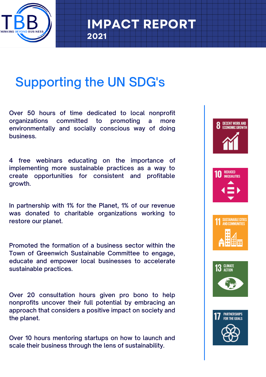

# Supporting the UN SDG's

**2021**

Over 50 hours of time dedicated to local nonprofit organizations committed to promoting a more environmentally and socially conscious way of doing business.

4 free webinars educating on the importance of implementing more sustainable practices as a way to create opportunities for consistent and profitable growth.

In partnership with 1% for the Planet, 1% of our revenue was donated to charitable organizations working to restore our planet.

Promoted the formation of a business sector within the Town of Greenwich Sustainable Committee to engage, educate and empower local businesses to accelerate sustainable practices.

Over 20 consultation hours given pro bono to help nonprofits uncover their full potential by embracing an approach that considers a positive impact on society and the planet.

Over 10 hours mentoring startups on how to launch and scale their business through the lens of sustainability.









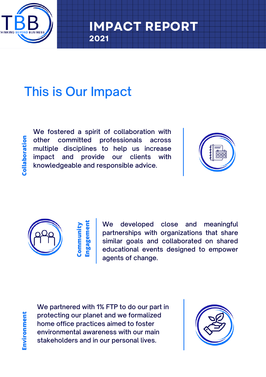

# This is Our Impact

**Colla boratio n**

We fostered a spirit of collaboration with other committed professionals across multiple disciplines to help us increase impact and provide our clients with knowledgeable and responsible advice.

**2021**

**IMPACT REPOR** 





#### **Communit y Engagement**

We developed close and meaningful partnerships with organizations that share similar goals and collaborated on shared educational events designed to empower agents of change.

We partnered with 1% FTP to do our part in protecting our planet and we formalized home office practices aimed to foster environmental awareness with our main stakeholders and in our personal lives.

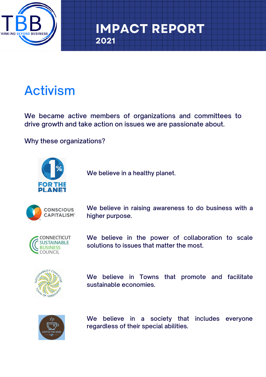

# Activism

We became active members of organizations and committees to drive growth and take action on issues we are passionate about.

**2021**

Why these organizations?



We believe in a healthy planet.



We believe in raising awareness to do business with a higher purpose.



We believe in the power of collaboration to scale solutions to issues that matter the most.



We believe in Towns that promote and facilitate sustainable economies.



We believe in a society that includes everyone regardless of their special abilities.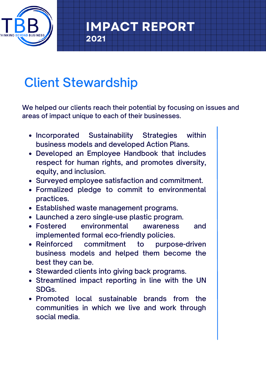

# Client Stewardship

**2021**

We helped our clients reach their potential by focusing on issues and areas of impact unique to each of their businesses.

**IMPACT REPORT**

- Incorporated Sustainability Strategies within business models and developed Action Plans.
- Developed an Employee Handbook that includes respect for human rights, and promotes diversity, equity, and inclusion.
- Surveyed employee satisfaction and commitment.
- Formalized pledge to commit to environmental practices.
- Established waste management programs.
- Launched a zero single-use plastic program.
- Fostered environmental awareness and implemented formal eco-friendly policies.
- Reinforced commitment to purpose-driven business models and helped them become the best they can be.
- Stewarded clients into giving back programs.
- Streamlined impact reporting in line with the UN SDGs.
- Promoted local sustainable brands from the communities in which we live and work through social media.